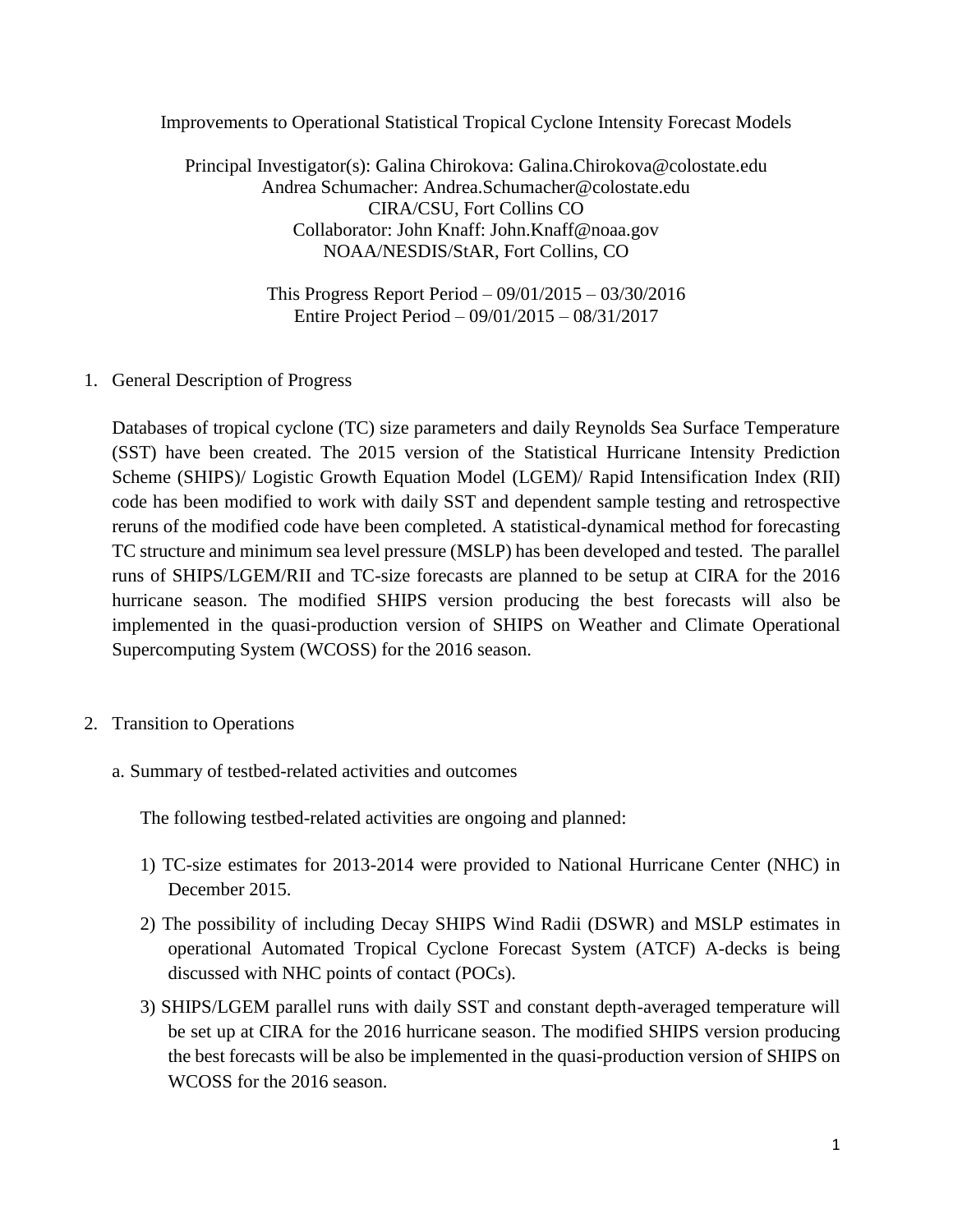Improvements to Operational Statistical Tropical Cyclone Intensity Forecast Models

Principal Investigator(s): Galina Chirokova: Galina.Chirokova@colostate.edu Andrea Schumacher: Andrea.Schumacher@colostate.edu CIRA/CSU, Fort Collins CO Collaborator: John Knaff: John.Knaff@noaa.gov NOAA/NESDIS/StAR, Fort Collins, CO

> This Progress Report Period – 09/01/2015 – 03/30/2016 Entire Project Period – 09/01/2015 – 08/31/2017

1. General Description of Progress

Databases of tropical cyclone (TC) size parameters and daily Reynolds Sea Surface Temperature (SST) have been created. The 2015 version of the Statistical Hurricane Intensity Prediction Scheme (SHIPS)/ Logistic Growth Equation Model (LGEM)/ Rapid Intensification Index (RII) code has been modified to work with daily SST and dependent sample testing and retrospective reruns of the modified code have been completed. A statistical-dynamical method for forecasting TC structure and minimum sea level pressure (MSLP) has been developed and tested. The parallel runs of SHIPS/LGEM/RII and TC-size forecasts are planned to be setup at CIRA for the 2016 hurricane season. The modified SHIPS version producing the best forecasts will also be implemented in the quasi-production version of SHIPS on Weather and Climate Operational Supercomputing System (WCOSS) for the 2016 season.

- 2. Transition to Operations
	- a. Summary of testbed-related activities and outcomes

The following testbed-related activities are ongoing and planned:

- 1) TC-size estimates for 2013-2014 were provided to National Hurricane Center (NHC) in December 2015.
- 2) The possibility of including Decay SHIPS Wind Radii (DSWR) and MSLP estimates in operational Automated Tropical Cyclone Forecast System (ATCF) A-decks is being discussed with NHC points of contact (POCs).
- 3) SHIPS/LGEM parallel runs with daily SST and constant depth-averaged temperature will be set up at CIRA for the 2016 hurricane season. The modified SHIPS version producing the best forecasts will be also be implemented in the quasi-production version of SHIPS on WCOSS for the 2016 season.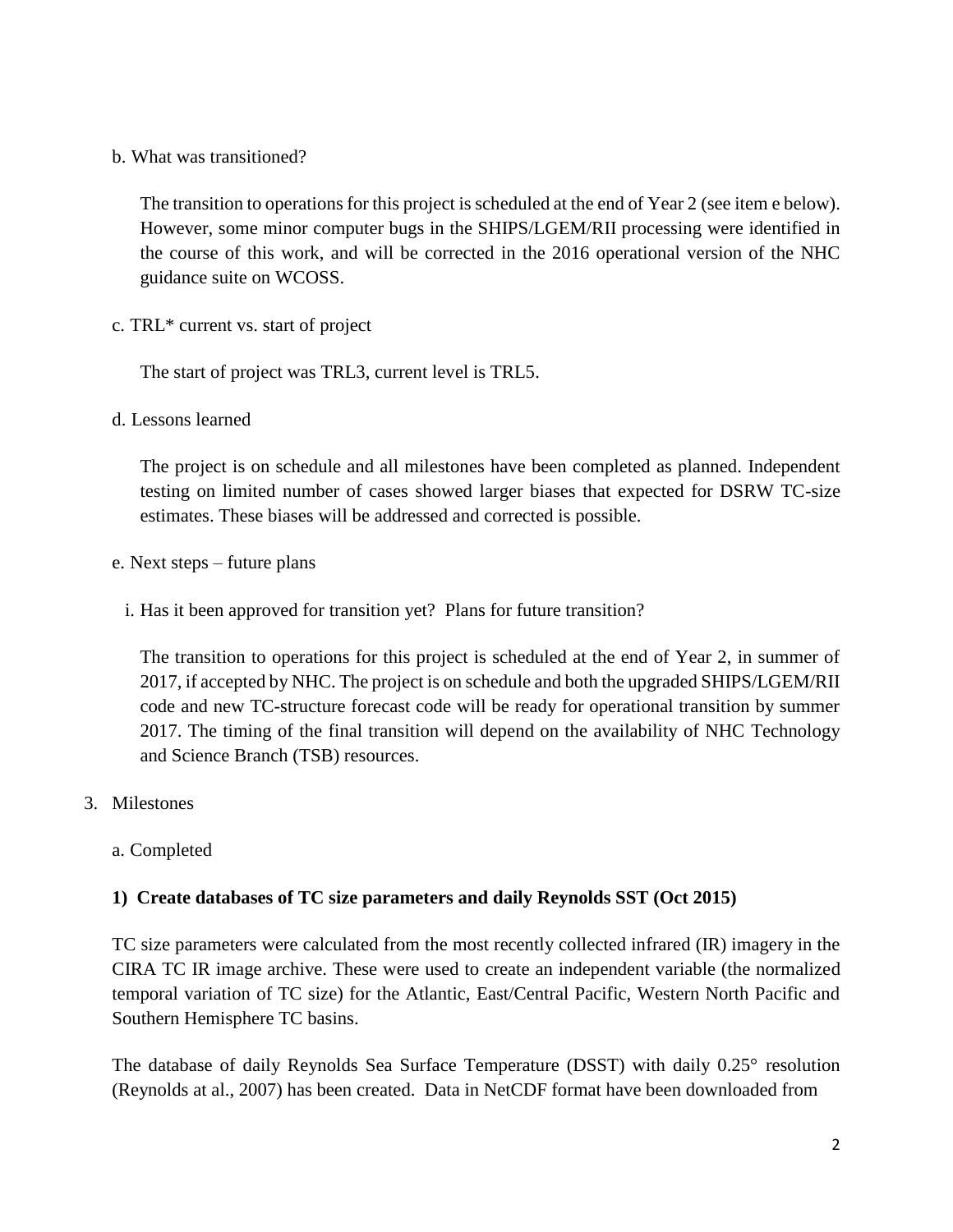b. What was transitioned?

The transition to operations for this project is scheduled at the end of Year 2 (see item e below). However, some minor computer bugs in the SHIPS/LGEM/RII processing were identified in the course of this work, and will be corrected in the 2016 operational version of the NHC guidance suite on WCOSS.

c. TRL\* current vs. start of project

The start of project was TRL3, current level is TRL5.

d. Lessons learned

The project is on schedule and all milestones have been completed as planned. Independent testing on limited number of cases showed larger biases that expected for DSRW TC-size estimates. These biases will be addressed and corrected is possible.

- e. Next steps future plans
	- i. Has it been approved for transition yet? Plans for future transition?

The transition to operations for this project is scheduled at the end of Year 2, in summer of 2017, if accepted by NHC. The project is on schedule and both the upgraded SHIPS/LGEM/RII code and new TC-structure forecast code will be ready for operational transition by summer 2017. The timing of the final transition will depend on the availability of NHC Technology and Science Branch (TSB) resources.

- 3. Milestones
	- a. Completed

## **1) Create databases of TC size parameters and daily Reynolds SST (Oct 2015)**

TC size parameters were calculated from the most recently collected infrared (IR) imagery in the CIRA TC IR image archive. These were used to create an independent variable (the normalized temporal variation of TC size) for the Atlantic, East/Central Pacific, Western North Pacific and Southern Hemisphere TC basins.

The database of daily Reynolds Sea Surface Temperature (DSST) with daily 0.25° resolution (Reynolds at al., 2007) has been created. Data in NetCDF format have been downloaded from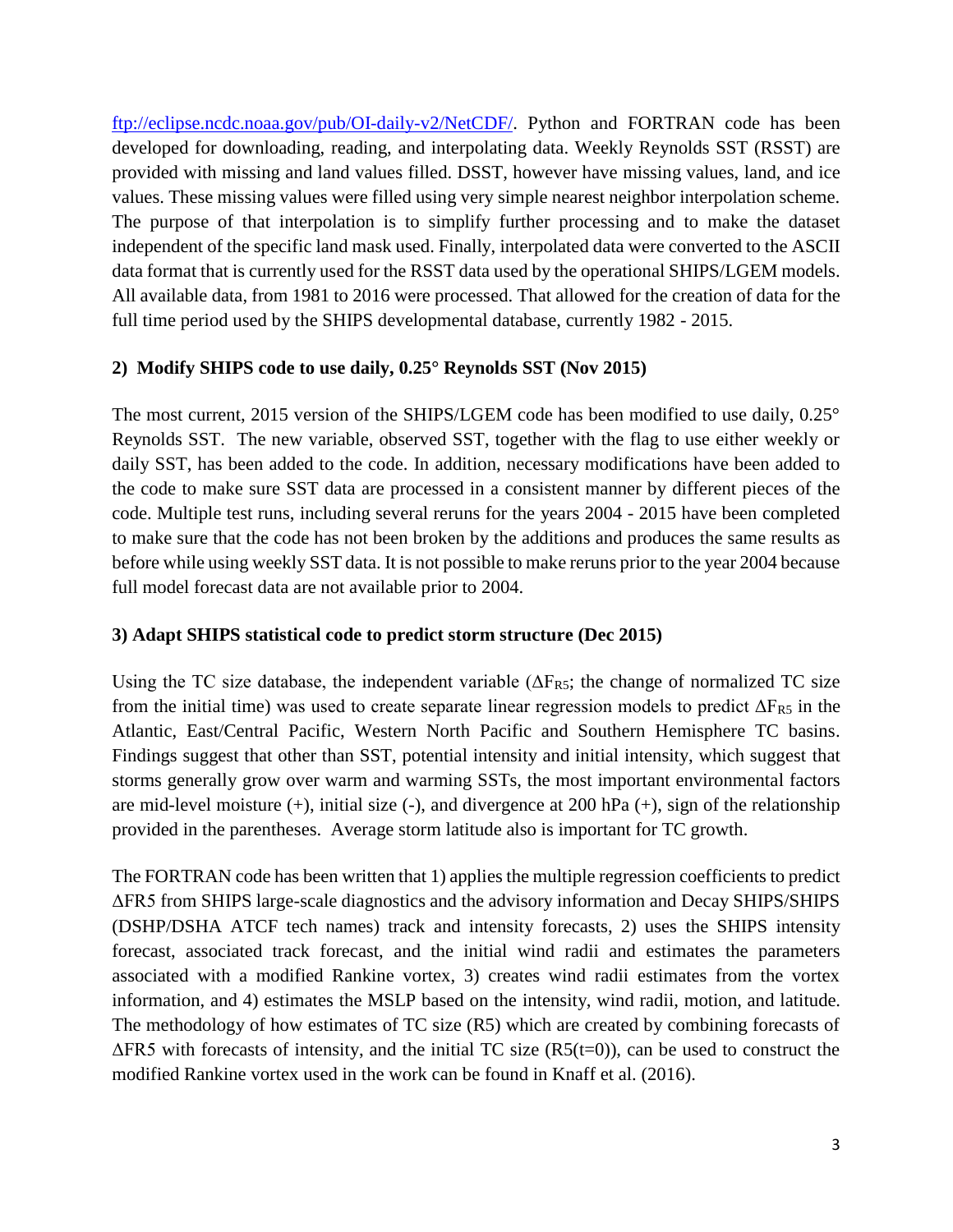[ftp://eclipse.ncdc.noaa.gov/pub/OI-daily-v2/NetCDF/.](ftp://eclipse.ncdc.noaa.gov/pub/OI-daily-v2/NetCDF/) Python and FORTRAN code has been developed for downloading, reading, and interpolating data. Weekly Reynolds SST (RSST) are provided with missing and land values filled. DSST, however have missing values, land, and ice values. These missing values were filled using very simple nearest neighbor interpolation scheme. The purpose of that interpolation is to simplify further processing and to make the dataset independent of the specific land mask used. Finally, interpolated data were converted to the ASCII data format that is currently used for the RSST data used by the operational SHIPS/LGEM models. All available data, from 1981 to 2016 were processed. That allowed for the creation of data for the full time period used by the SHIPS developmental database, currently 1982 - 2015.

## **2) Modify SHIPS code to use daily, 0.25° Reynolds SST (Nov 2015)**

The most current, 2015 version of the SHIPS/LGEM code has been modified to use daily, 0.25° Reynolds SST. The new variable, observed SST, together with the flag to use either weekly or daily SST, has been added to the code. In addition, necessary modifications have been added to the code to make sure SST data are processed in a consistent manner by different pieces of the code. Multiple test runs, including several reruns for the years 2004 - 2015 have been completed to make sure that the code has not been broken by the additions and produces the same results as before while using weekly SST data. It is not possible to make reruns prior to the year 2004 because full model forecast data are not available prior to 2004.

## **3) Adapt SHIPS statistical code to predict storm structure (Dec 2015)**

Using the TC size database, the independent variable ( $\Delta F_{RS}$ ; the change of normalized TC size from the initial time) was used to create separate linear regression models to predict  $\Delta F_{RS}$  in the Atlantic, East/Central Pacific, Western North Pacific and Southern Hemisphere TC basins. Findings suggest that other than SST, potential intensity and initial intensity, which suggest that storms generally grow over warm and warming SSTs, the most important environmental factors are mid-level moisture  $(+)$ , initial size  $(-)$ , and divergence at 200 hPa  $(+)$ , sign of the relationship provided in the parentheses. Average storm latitude also is important for TC growth.

The FORTRAN code has been written that 1) applies the multiple regression coefficients to predict ΔFR5 from SHIPS large-scale diagnostics and the advisory information and Decay SHIPS/SHIPS (DSHP/DSHA ATCF tech names) track and intensity forecasts, 2) uses the SHIPS intensity forecast, associated track forecast, and the initial wind radii and estimates the parameters associated with a modified Rankine vortex, 3) creates wind radii estimates from the vortex information, and 4) estimates the MSLP based on the intensity, wind radii, motion, and latitude. The methodology of how estimates of TC size (R5) which are created by combining forecasts of  $\Delta$ FR5 with forecasts of intensity, and the initial TC size (R5(t=0)), can be used to construct the modified Rankine vortex used in the work can be found in Knaff et al. (2016).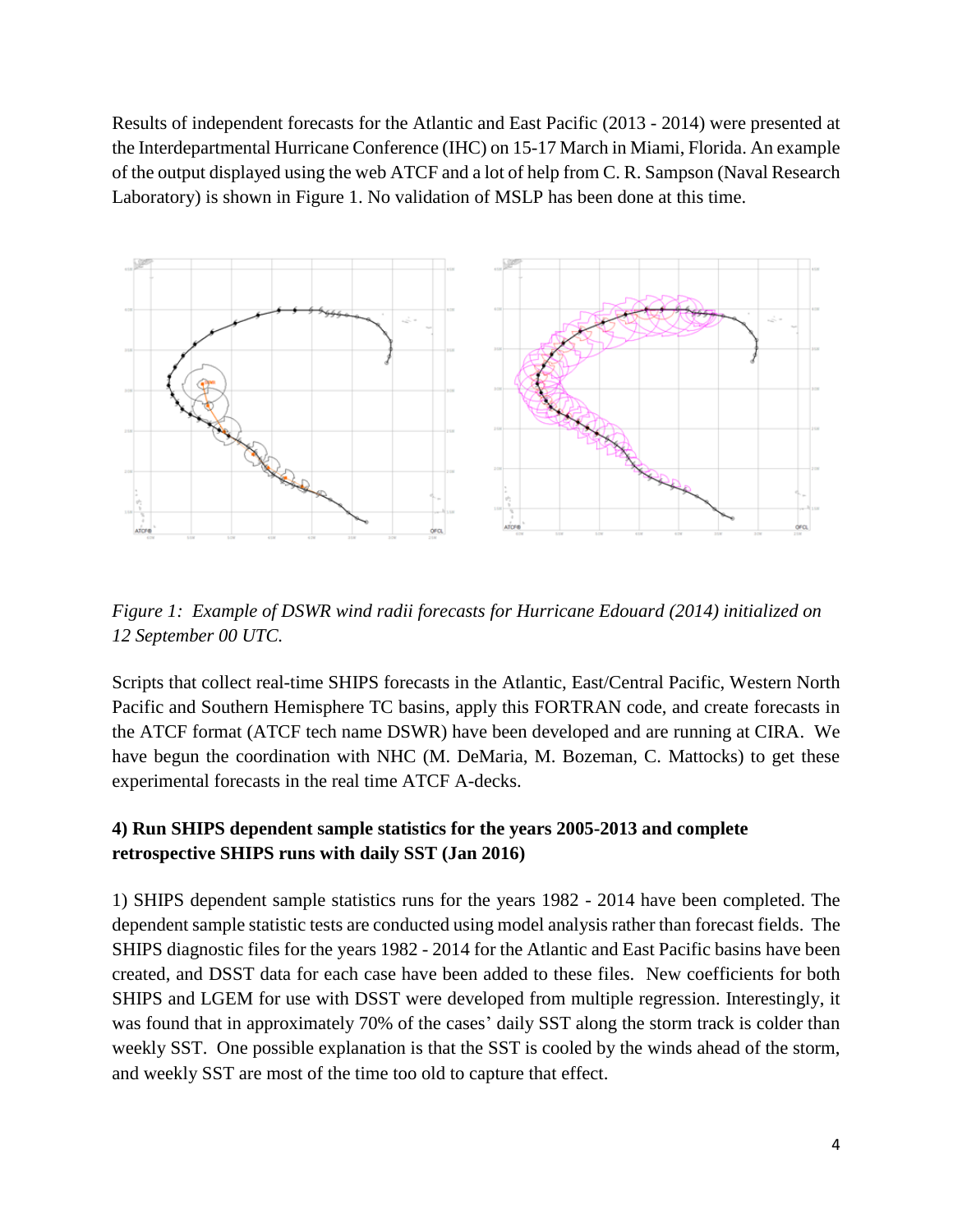Results of independent forecasts for the Atlantic and East Pacific (2013 - 2014) were presented at the Interdepartmental Hurricane Conference (IHC) on 15-17 March in Miami, Florida. An example of the output displayed using the web ATCF and a lot of help from C. R. Sampson (Naval Research Laboratory) is shown in Figure 1. No validation of MSLP has been done at this time.



*Figure 1: Example of DSWR wind radii forecasts for Hurricane Edouard (2014) initialized on 12 September 00 UTC.*

Scripts that collect real-time SHIPS forecasts in the Atlantic, East/Central Pacific, Western North Pacific and Southern Hemisphere TC basins, apply this FORTRAN code, and create forecasts in the ATCF format (ATCF tech name DSWR) have been developed and are running at CIRA. We have begun the coordination with NHC (M. DeMaria, M. Bozeman, C. Mattocks) to get these experimental forecasts in the real time ATCF A-decks.

# **4) Run SHIPS dependent sample statistics for the years 2005-2013 and complete retrospective SHIPS runs with daily SST (Jan 2016)**

1) SHIPS dependent sample statistics runs for the years 1982 - 2014 have been completed. The dependent sample statistic tests are conducted using model analysis rather than forecast fields. The SHIPS diagnostic files for the years 1982 - 2014 for the Atlantic and East Pacific basins have been created, and DSST data for each case have been added to these files. New coefficients for both SHIPS and LGEM for use with DSST were developed from multiple regression. Interestingly, it was found that in approximately 70% of the cases' daily SST along the storm track is colder than weekly SST. One possible explanation is that the SST is cooled by the winds ahead of the storm, and weekly SST are most of the time too old to capture that effect.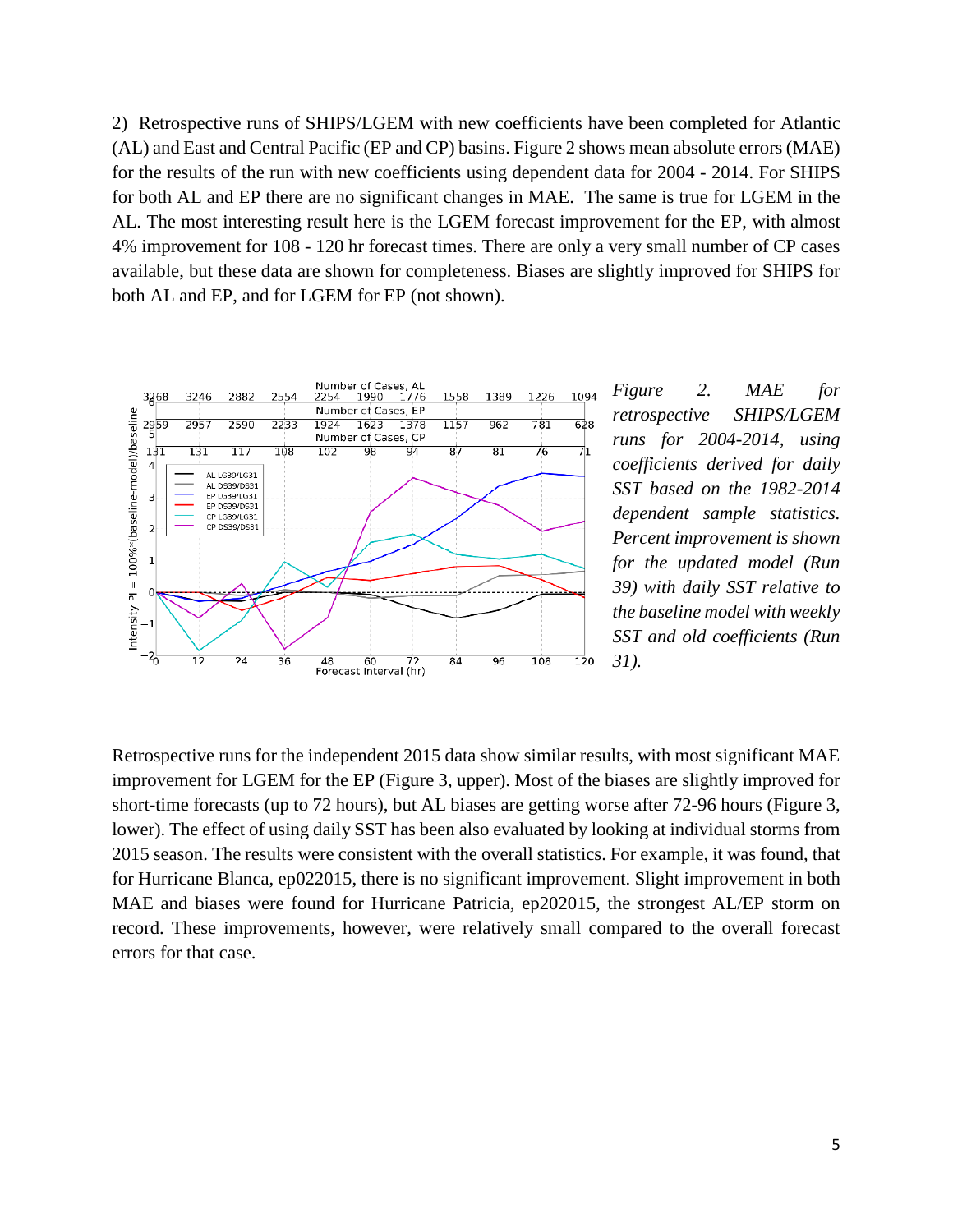2) Retrospective runs of SHIPS/LGEM with new coefficients have been completed for Atlantic (AL) and East and Central Pacific (EP and CP) basins. Figure 2 shows mean absolute errors (MAE) for the results of the run with new coefficients using dependent data for 2004 - 2014. For SHIPS for both AL and EP there are no significant changes in MAE. The same is true for LGEM in the AL. The most interesting result here is the LGEM forecast improvement for the EP, with almost 4% improvement for 108 - 120 hr forecast times. There are only a very small number of CP cases available, but these data are shown for completeness. Biases are slightly improved for SHIPS for both AL and EP, and for LGEM for EP (not shown).



*Figure 2. MAE for retrospective SHIPS/LGEM runs for 2004-2014, using coefficients derived for daily SST based on the 1982-2014 dependent sample statistics. Percent improvement is shown for the updated model (Run 39) with daily SST relative to the baseline model with weekly SST and old coefficients (Run 31).*

Retrospective runs for the independent 2015 data show similar results, with most significant MAE improvement for LGEM for the EP (Figure 3, upper). Most of the biases are slightly improved for short-time forecasts (up to 72 hours), but AL biases are getting worse after 72-96 hours (Figure 3, lower). The effect of using daily SST has been also evaluated by looking at individual storms from 2015 season. The results were consistent with the overall statistics. For example, it was found, that for Hurricane Blanca, ep022015, there is no significant improvement. Slight improvement in both MAE and biases were found for Hurricane Patricia, ep202015, the strongest AL/EP storm on record. These improvements, however, were relatively small compared to the overall forecast errors for that case.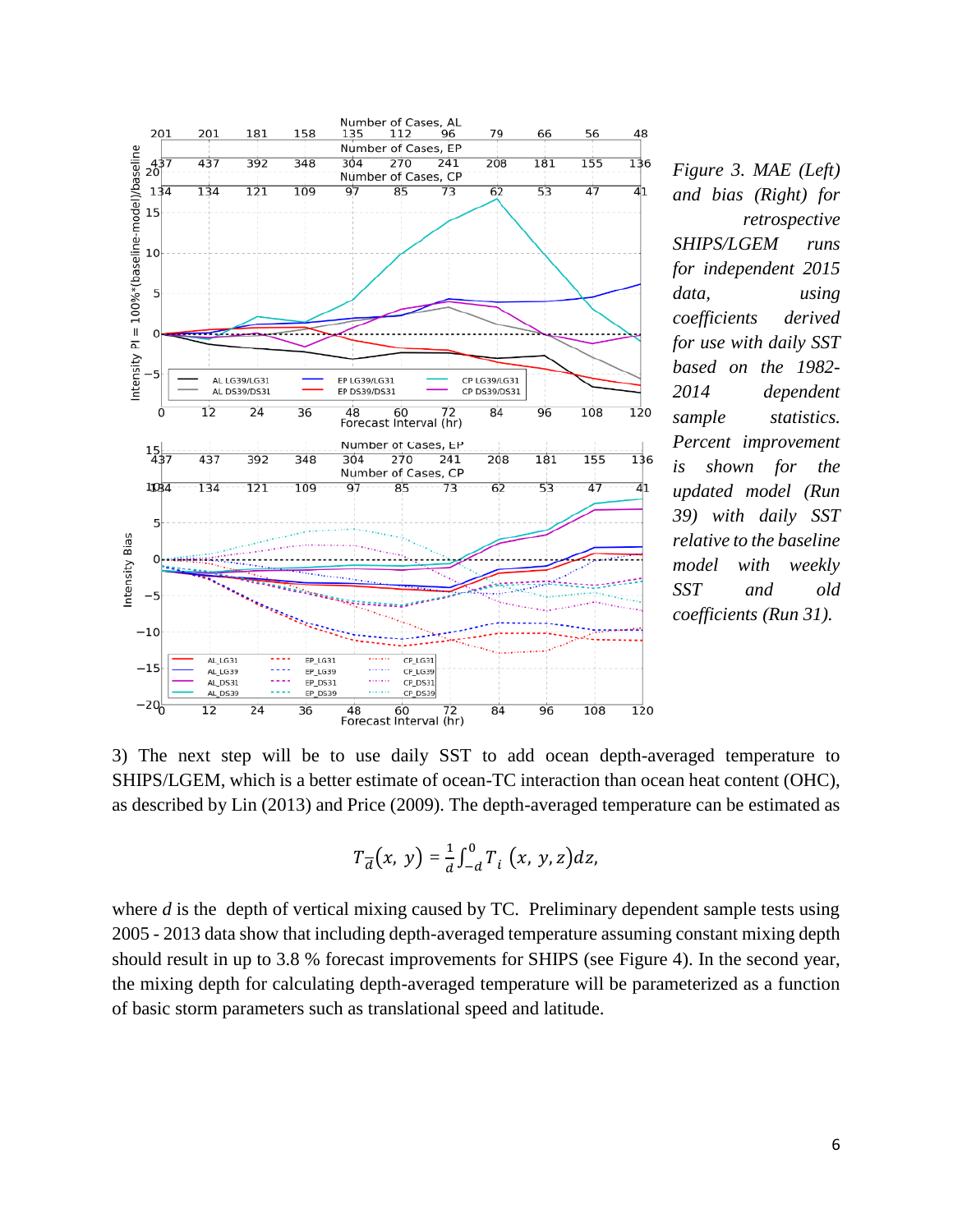

*Figure 3. MAE (Left) and bias (Right) for retrospective SHIPS/LGEM runs for independent 2015 data, using coefficients derived for use with daily SST based on the 1982- 2014 dependent sample statistics. Percent improvement is shown for the updated model (Run 39) with daily SST relative to the baseline model with weekly SST and old coefficients (Run 31).*

3) The next step will be to use daily SST to add ocean depth-averaged temperature to SHIPS/LGEM, which is a better estimate of ocean-TC interaction than ocean heat content (OHC), as described by Lin (2013) and Price (2009). The depth-averaged temperature can be estimated as

$$
T_{\overline{d}}(x, y) = \frac{1}{d} \int_{-d}^{0} T_i(x, y, z) dz,
$$

where *d* is the depth of vertical mixing caused by TC. Preliminary dependent sample tests using 2005 - 2013 data show that including depth-averaged temperature assuming constant mixing depth should result in up to 3.8 % forecast improvements for SHIPS (see Figure 4). In the second year, the mixing depth for calculating depth-averaged temperature will be parameterized as a function of basic storm parameters such as translational speed and latitude.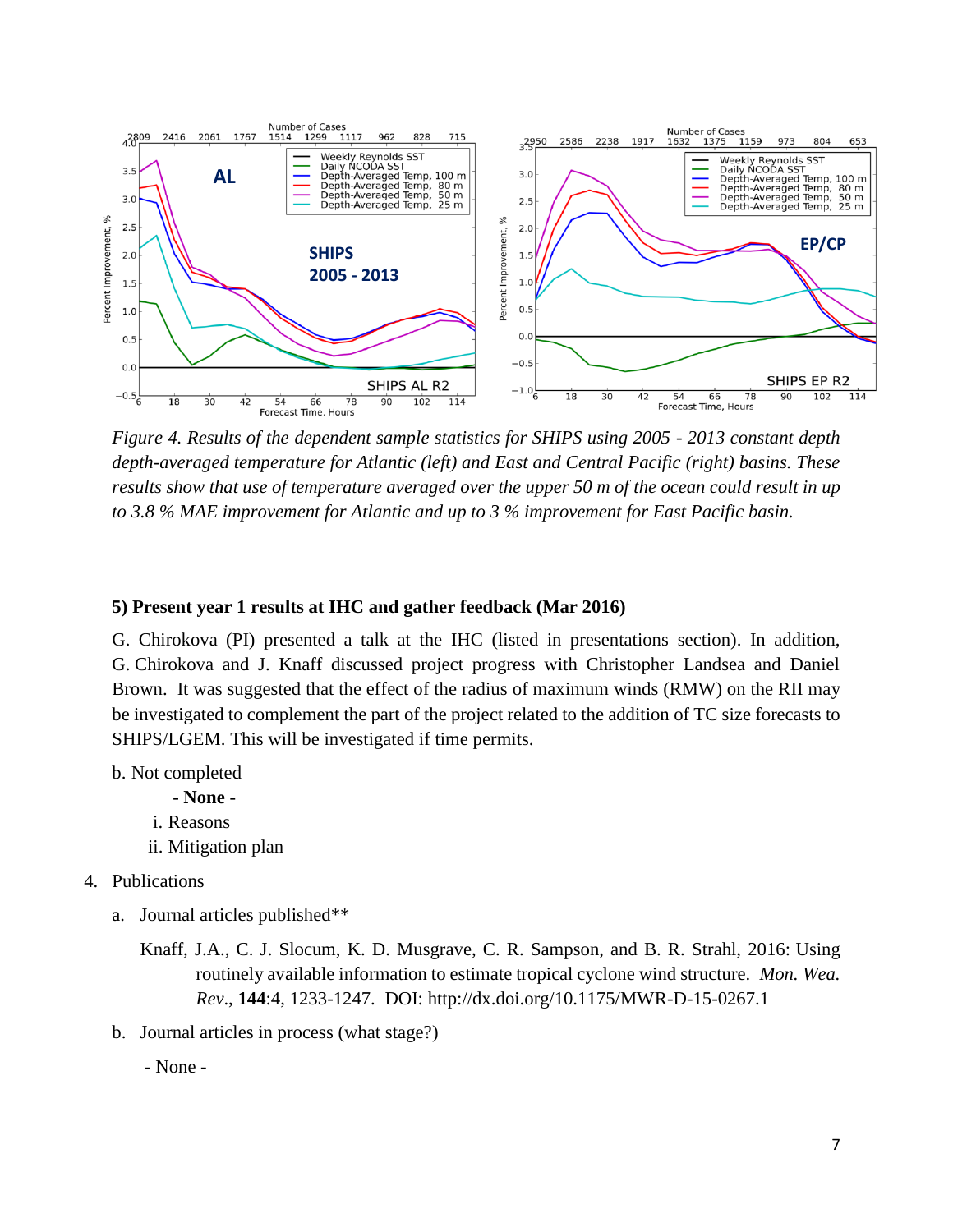

*Figure 4. Results of the dependent sample statistics for SHIPS using 2005 - 2013 constant depth depth-averaged temperature for Atlantic (left) and East and Central Pacific (right) basins. These results show that use of temperature averaged over the upper 50 m of the ocean could result in up to 3.8 % MAE improvement for Atlantic and up to 3 % improvement for East Pacific basin.* 

#### **5) Present year 1 results at IHC and gather feedback (Mar 2016)**

G. Chirokova (PI) presented a talk at the IHC (listed in presentations section). In addition, G. Chirokova and J. Knaff discussed project progress with Christopher Landsea and Daniel Brown. It was suggested that the effect of the radius of maximum winds (RMW) on the RII may be investigated to complement the part of the project related to the addition of TC size forecasts to SHIPS/LGEM. This will be investigated if time permits.

b. Not completed

**- None**  i. Reasons ii. Mitigation plan

- 4. Publications
	- a. Journal articles published\*\*
		- Knaff, J.A., C. J. Slocum, K. D. Musgrave, C. R. Sampson, and B. R. Strahl, 2016: Using routinely available information to estimate tropical cyclone wind structure. *Mon. Wea. Rev*., **144**:4, 1233-1247. DOI: http://dx.doi.org/10.1175/MWR-D-15-0267.1
	- b. Journal articles in process (what stage?)

- None -